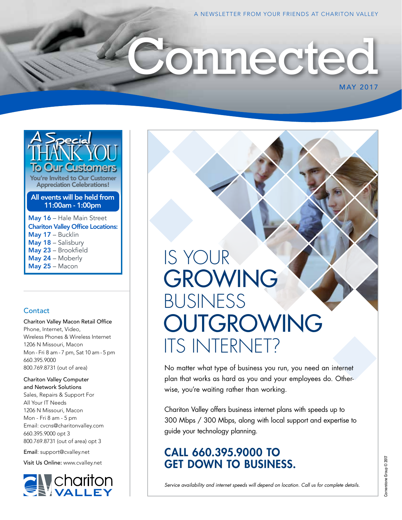MAY 2017

# onnected



#### All events will be held from 11:00am - 1:00pm

May 16 – Hale Main Street Chariton Valley Office Locations: May 17 - Bucklin May 18 - Salisbury May 23 – Brookfield May 24 – Moberly May 25 – Macon

#### **Contact**

Chariton Valley Macon Retail Office Phone, Internet, Video, Wireless Phones & Wireless Internet 1206 N Missouri, Macon Mon - Fri 8 am - 7 pm, Sat 10 am - 5 pm 660.395.9000 800.769.8731 (out of area)

Chariton Valley Computer and Network Solutions Sales, Repairs & Support For All Your IT Needs 1206 N Missouri, Macon Mon - Fri 8 am - 5 pm Email: cvcns@charitonvalley.com 660.395.9000 opt 3 800.769.8731 (out of area) opt 3

Email: support@cvalley.net

Visit Us Online: www.cvalley.net



# IS YOUR GROWING BUSINESS OUTGROWING ITS INTERNET?

No matter what type of business you run, you need an internet plan that works as hard as you and your employees do. Otherwise, you're waiting rather than working.

Chariton Valley offers business internet plans with speeds up to 300 Mbps / 300 Mbps, along with local support and expertise to guide your technology planning.

### CALL 660.395.9000 TO GET DOWN TO BUSINESS.

*Service availability and internet speeds will depend on location. Call us for complete details.*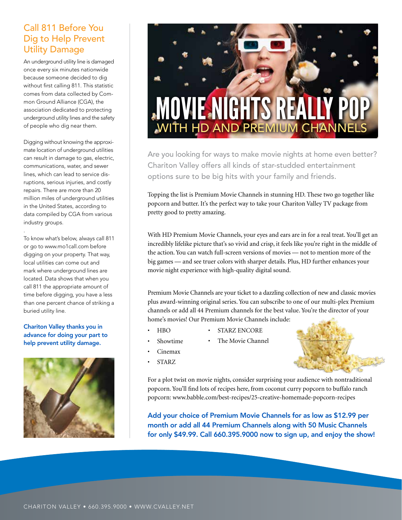#### Call 811 Before You Dig to Help Prevent Utility Damage

An underground utility line is damaged once every six minutes nationwide because someone decided to dig without first calling 811. This statistic comes from data collected by Common Ground Alliance (CGA), the association dedicated to protecting underground utility lines and the safety of people who dig near them.

Digging without knowing the approximate location of underground utilities can result in damage to gas, electric, communications, water, and sewer lines, which can lead to service disruptions, serious injuries, and costly repairs. There are more than 20 million miles of underground utilities in the United States, according to data compiled by CGA from various industry groups.

To know what's below, always call 811 or go to www.mo1call.com before digging on your property. That way, local utilities can come out and mark where underground lines are located. Data shows that when you call 811 the appropriate amount of time before digging, you have a less than one percent chance of striking a buried utility line.

.

#### Chariton Valley thanks you in advance for doing your part to help prevent utility damage.





Are you looking for ways to make movie nights at home even better? Chariton Valley offers all kinds of star-studded entertainment options sure to be big hits with your family and friends.

Topping the list is Premium Movie Channels in stunning HD. These two go together like popcorn and butter. It's the perfect way to take your Chariton Valley TV package from pretty good to pretty amazing.

With HD Premium Movie Channels, your eyes and ears are in for a real treat. You'll get an incredibly lifelike picture that's so vivid and crisp, it feels like you're right in the middle of the action. You can watch full-screen versions of movies — not to mention more of the big games — and see truer colors with sharper details. Plus, HD further enhances your movie night experience with high-quality digital sound.

Premium Movie Channels are your ticket to a dazzling collection of new and classic movies plus award-winning original series. You can subscribe to one of our multi-plex Premium channels or add all 44 Premium channels for the best value. You're the director of your home's movies! Our Premium Movie Channels include:

- HBO
- STARZ ENCORE
- Showtime
- The Movie Channel
- 
- Cinemax
- **STARZ**

For a plot twist on movie nights, consider surprising your audience with nontraditional popcorn. You'll find lots of recipes here, from coconut curry popcorn to buffalo ranch popcorn: www.babble.com/best-recipes/25-creative-homemade-popcorn-recipes

Add your choice of Premium Movie Channels for as low as \$12.99 per month or add all 44 Premium Channels along with 50 Music Channels for only \$49.99. Call 660.395.9000 now to sign up, and enjoy the show!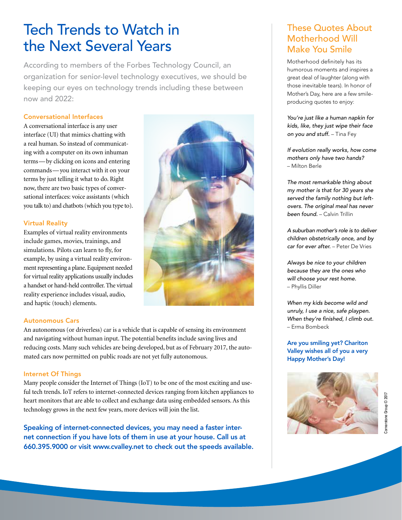## Tech Trends to Watch in the Next Several Years

According to members of the Forbes Technology Council, an organization for senior-level technology executives, we should be keeping our eyes on technology trends including these between now and 2022:

#### Conversational Interfaces

A conversational interface is any user interface (UI) that mimics chatting with a real human. So instead of communicating with a computer on its own inhuman terms—by clicking on icons and entering commands—you interact with it on your terms by just telling it what to do. Right now, there are two basic types of conversational interfaces: voice assistants (which you talk to) and chatbots (which you type to).

#### Virtual Reality

Examples of virtual reality environments include games, movies, trainings, and simulations. Pilots can learn to fly, for example, by using a virtual reality environment representing a plane. Equipment needed for virtual reality applications usually includes a handset or hand-held controller. The virtual reality experience includes visual, audio, and haptic (touch) elements.



#### Autonomous Cars

An autonomous (or driverless) car is a vehicle that is capable of sensing its environment and navigating without human input. The potential benefits include saving lives and reducing costs. Many such vehicles are being developed, but as of February 2017, the automated cars now permitted on public roads are not yet fully autonomous.

#### Internet Of Things

Many people consider the Internet of Things (IoT) to be one of the most exciting and useful tech trends. IoT refers to internet-connected devices ranging from kitchen appliances to heart monitors that are able to collect and exchange data using embedded sensors. As this technology grows in the next few years, more devices will join the list.

Speaking of internet-connected devices, you may need a faster internet connection if you have lots of them in use at your house. Call us at 660.395.9000 or visit www.cvalley.net to check out the speeds available.

#### These Quotes About Motherhood Will Make You Smile

Motherhood definitely has its humorous moments and inspires a great deal of laughter (along with those inevitable tears). In honor of Mother's Day, here are a few smileproducing quotes to enjoy:

*You're just like a human napkin for kids, like, they just wipe their face on you and stuff.* – Tina Fey

*If evolution really works, how come mothers only have two hands?* – Milton Berle

*The most remarkable thing about my mother is that for 30 years she served the family nothing but leftovers. The original meal has never been found.* – Calvin Trillin

*A suburban mother's role is to deliver children obstetrically once, and by car for ever after.* – Peter De Vries

*Always be nice to your children because they are the ones who will choose your rest home.* – Phyllis Diller

*When my kids become wild and unruly, I use a nice, safe playpen.*  When they're finished, I climb out. – Erma Bombeck

Are you smiling yet? Chariton Valley wishes all of you a very Happy Mother's Day!